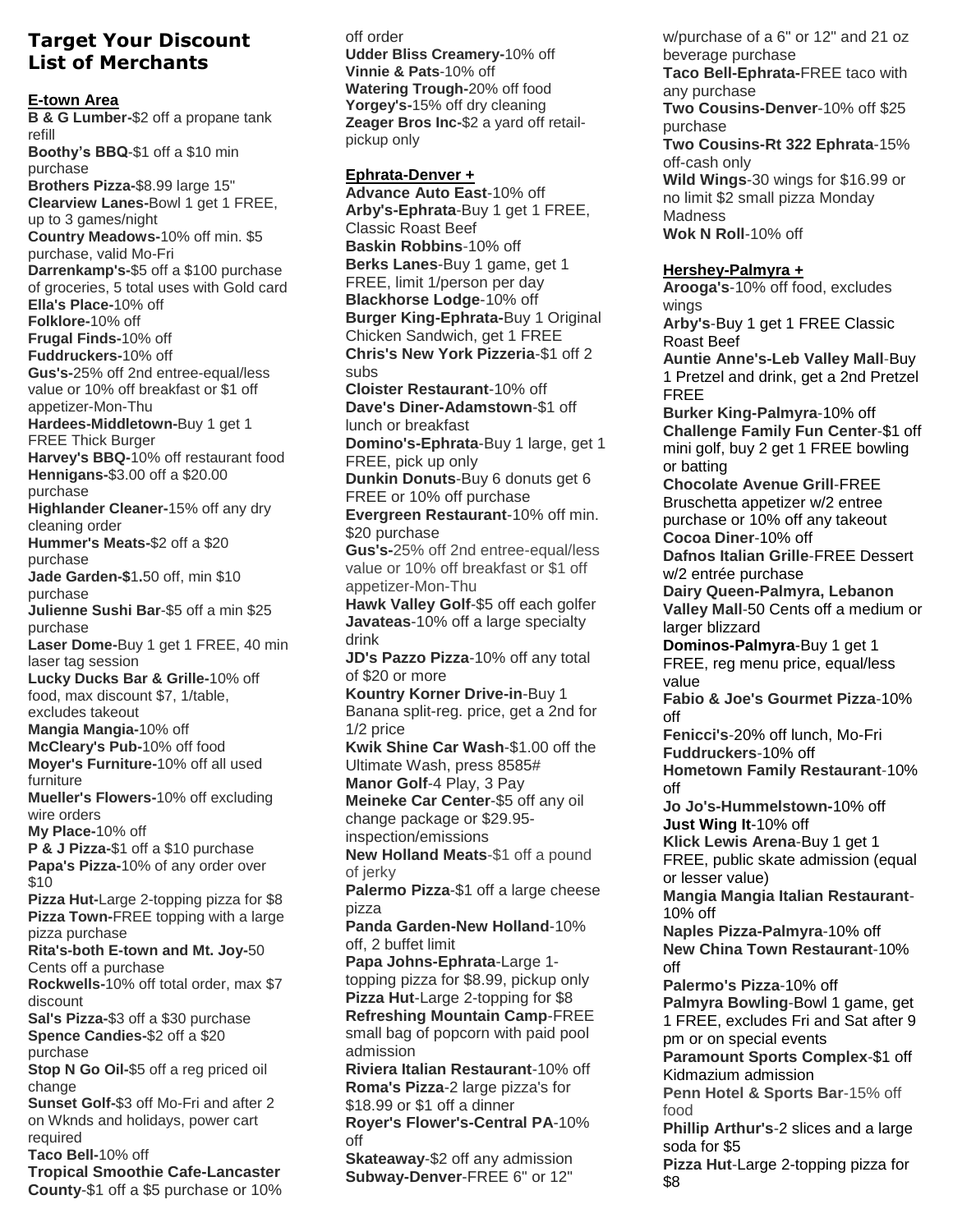## **Target Your Discount List of Merchants**

**E-town Area**

**B & G Lumber-\$2 off a propane tank refill Boothy's BBQ-\$1 off a \$10 min purchase Brothers Pizza-\$8.99 large 15" Clearview Lanes-Bowl 1 get 1 FREE, up to 3 games/night Country Meadows-10% off min. \$5 purchase, valid Mo-Fri Darrenkamp's-\$5 off a \$100 purchase of groceries, 5 total uses with Gold card Ella's Place-10% off Folklore-10% off Frugal Finds-10% off Fuddruckers-10% off Gus's-25% off 2nd entree-equal/less value or 10% off breakfast or \$1 off appetizer-Mon-Thu Hardees-Middletown-Buy 1 get 1 FREE Thick Burger Harvey's BBQ-10% off restaurant food Hennigans-\$3.00 off a \$20.00 purchase Highlander Cleaner-15% off any dry cleaning order Hummer's Meats-\$2 off a \$20 purchase Jade Garden-\$1.50 off, min \$10 purchase Julienne Sushi Bar-\$5 off a min \$25 purchase Laser Dome-Buy 1 get 1 FREE, 40 min laser tag session Lucky Ducks Bar & Grille-10% off food, max discount \$7, 1/table, excludes takeout Mangia Mangia-10% off McCleary's Pub-10% off food Moyer's Furniture-10% off all used furniture Mueller's Flowers-10% off excluding wire orders My Place-10% off P & J Pizza-\$1 off a \$10 purchase Papa's Pizza-10% of any order over \$10 Pizza Hut-Large 2-topping pizza for \$8 Pizza Town-FREE topping with a large pizza purchase Rita's-both E-town and Mt. Joy-50 Cents off a purchase Rockwells-10% off total order, max \$7 discount Sal's Pizza-\$3 off a \$30 purchase Spence Candies-\$2 off a \$20 purchase Stop N Go Oil-\$5 off a reg priced oil change Sunset Golf-\$3 off Mo-Fri and after 2 on Wknds and holidays, power cart required Taco Bell-10% off Tropical Smoothie Cafe-Lancaster** 

**County-\$1 off a \$5 purchase or 10%** 

**off order Udder Bliss Creamery-10% off Vinnie & Pats-10% off Watering Trough-20% off food Yorgey's-15% off dry cleaning Zeager Bros Inc-\$2 a yard off retailpickup only**

**Ephrata-Denver + Advance Auto East-10% off Arby's-Ephrata-Buy 1 get 1 FREE, Classic Roast Beef Baskin Robbins-10% off Berks Lanes-Buy 1 game, get 1 FREE, limit 1/person per day Blackhorse Lodge-10% off Burger King-Ephrata-Buy 1 Original Chicken Sandwich, get 1 FREE Chris's New York Pizzeria-\$1 off 2 subs Cloister Restaurant-10% off Dave's Diner-Adamstown-\$1 off lunch or breakfast Domino's-Ephrata-Buy 1 large, get 1 FREE, pick up only Dunkin Donuts-Buy 6 donuts get 6 FREE or 10% off purchase Evergreen Restaurant-10% off min. \$20 purchase Gus's-25% off 2nd entree-equal/less value or 10% off breakfast or \$1 off appetizer-Mon-Thu Hawk Valley Golf-\$5 off each golfer Javateas-10% off a large specialty drink JD's Pazzo Pizza-10% off any total of \$20 or more Kountry Korner Drive-in-Buy 1 Banana split-reg. price, get a 2nd for 1/2 price Kwik Shine Car Wash-\$1.00 off the Ultimate Wash, press 8585# Manor Golf-4 Play, 3 Pay Meineke Car Center-\$5 off any oil change package or \$29.95 inspection/emissions New Holland Meats-\$1 off a pound of jerky Palermo Pizza-\$1 off a large cheese pizza Panda Garden-New Holland-10% off, 2 buffet limit Papa Johns-Ephrata-Large 1 topping pizza for \$8.99, pickup only Pizza Hut-Large 2-topping for \$8 Refreshing Mountain Camp-FREE small bag of popcorn with paid pool admission Riviera Italian Restaurant-10% off Roma's Pizza-2 large pizza's for \$18.99 or \$1 off a dinner Royer's Flower's-Central PA-10% off Skateaway-\$2 off any admission**

**Subway-Denver-FREE 6" or 12"** 

**\$8**

**w/purchase of a 6" or 12" and 21 oz beverage purchase Taco Bell-Ephrata-FREE taco with any purchase Two Cousins-Denver-10% off \$25 purchase Two Cousins-Rt 322 Ephrata-15% off-cash only Wild Wings-30 wings for \$16.99 or no limit \$2 small pizza Monday Madness Wok N Roll-10% off Hershey-Palmyra + Arooga's-10% off food, excludes wings Arby's-Buy 1 get 1 FREE Classic Roast Beef Auntie Anne's-Leb Valley Mall-Buy 1 Pretzel and drink, get a 2nd Pretzel FREE Burker King-Palmyra-10% off Challenge Family Fun Center-\$1 off mini golf, buy 2 get 1 FREE bowling or batting Chocolate Avenue Grill-FREE Bruschetta appetizer w/2 entree purchase or 10% off any takeout Cocoa Diner-10% off Dafnos Italian Grille-FREE Dessert w/2 entrée purchase Dairy Queen-Palmyra, Lebanon Valley Mall-50 Cents off a medium or larger blizzard Dominos-Palmyra-Buy 1 get 1 FREE, reg menu price, equal/less value Fabio & Joe's Gourmet Pizza-10% off Fenicci's-20% off lunch, Mo-Fri Fuddruckers-10% off Hometown Family Restaurant-10% off Jo Jo's-Hummelstown-10% off Just Wing It-10% off Klick Lewis Arena-Buy 1 get 1 FREE, public skate admission (equal or lesser value) Mangia Mangia Italian Restaurant-10% off Naples Pizza-Palmyra-10% off New China Town Restaurant-10% off Palermo's Pizza-10% off Palmyra Bowling-Bowl 1 game, get 1 FREE, excludes Fri and Sat after 9 pm or on special events Paramount Sports Complex-\$1 off Kidmazium admission Penn Hotel & Sports Bar-15% off food Phillip Arthur's-2 slices and a large soda for \$5 Pizza Hut-Large 2-topping pizza for**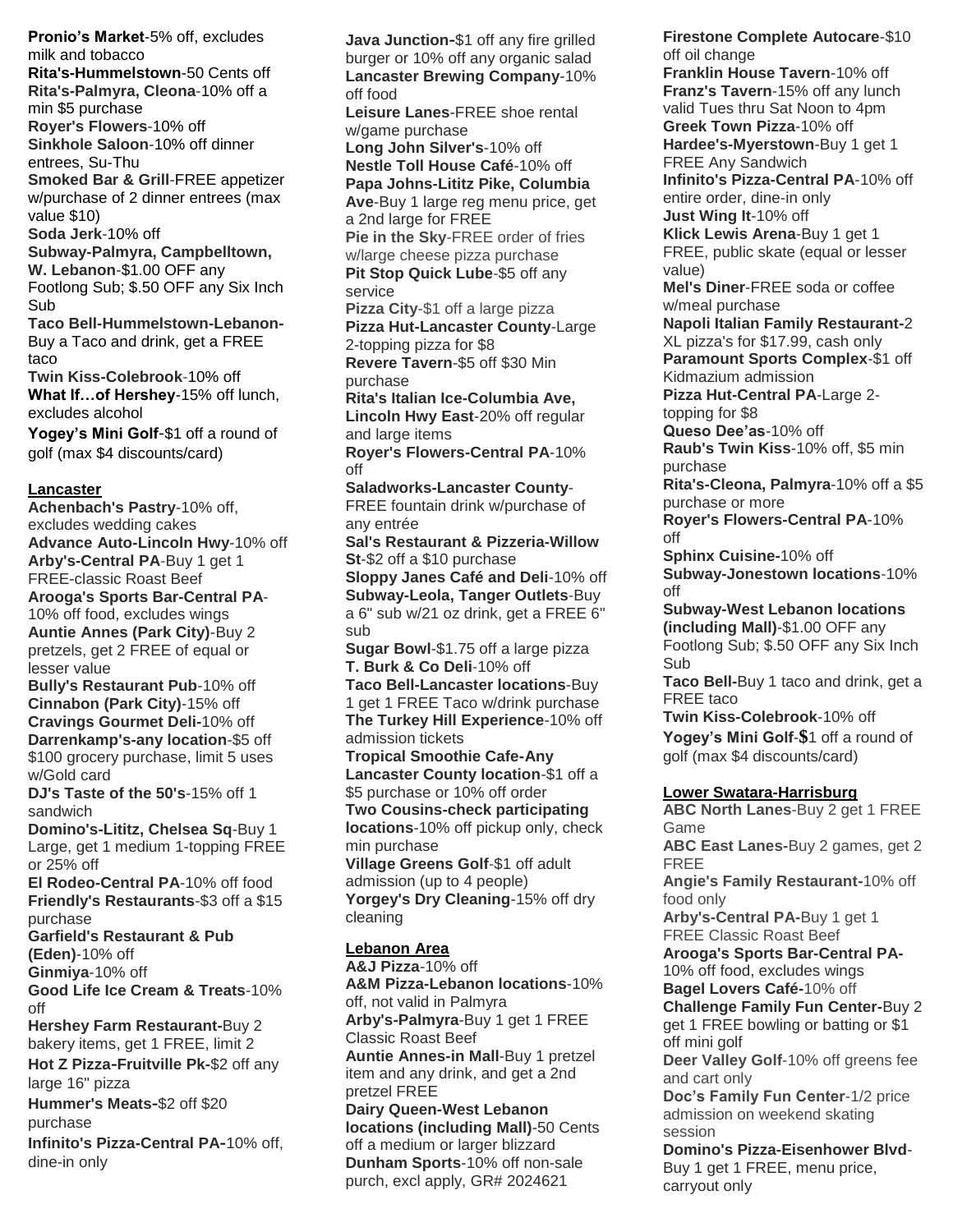**Pronio's Market-5% off, excludes milk and tobacco Rita's-Hummelstown-50 Cents off Rita's-Palmyra, Cleona-10% off a min \$5 purchase Royer's Flowers-10% off Sinkhole Saloon-10% off dinner entrees, Su-Thu Smoked Bar & Grill-FREE appetizer w/purchase of 2 dinner entrees (max value \$10) Soda Jerk-10% off Subway-Palmyra, Campbelltown, W. Lebanon-\$1.00 OFF any Footlong Sub; \$.50 OFF any Six Inch Sub Taco Bell-Hummelstown-Lebanon-Buy a Taco and drink, get a FREE taco Twin Kiss-Colebrook-10% off What If…of Hershey-15% off lunch, excludes alcohol Yogey's Mini Golf**-**\$1 off a round of golf (max \$4 discounts/card)**

## **Lancaster**

**Achenbach's Pastry-10% off, excludes wedding cakes Advance Auto-Lincoln Hwy-10% off Arby's-Central PA-Buy 1 get 1 FREE-classic Roast Beef Arooga's Sports Bar-Central PA-10% off food, excludes wings Auntie Annes (Park City)-Buy 2 pretzels, get 2 FREE of equal or lesser value Bully's Restaurant Pub-10% off Cinnabon (Park City)-15% off Cravings Gourmet Deli-10% off Darrenkamp's-any location-\$5 off \$100 grocery purchase, limit 5 uses w/Gold card DJ's Taste of the 50's-15% off 1 sandwich Domino's-Lititz, Chelsea Sq-Buy 1 Large, get 1 medium 1-topping FREE or 25% off El Rodeo-Central PA-10% off food Friendly's Restaurants-\$3 off a \$15 purchase Garfield's Restaurant & Pub (Eden)-10% off Ginmiya-10% off Good Life Ice Cream & Treats-10% off Hershey Farm Restaurant-Buy 2 bakery items, get 1 FREE, limit 2 Hot Z Pizza-Fruitville Pk-\$2 off any large 16" pizza Hummer's Meats-\$2 off \$20 purchase Infinito's Pizza-Central PA-10% off, dine-in only**

**Java Junction-\$1 off any fire grilled burger or 10% off any organic salad Lancaster Brewing Company-10% off food Leisure Lanes-FREE shoe rental w/game purchase Long John Silver's-10% off Nestle Toll House Café-10% off Papa Johns-Lititz Pike, Columbia Ave-Buy 1 large reg menu price, get a 2nd large for FREE Pie in the Sky-FREE order of fries w/large cheese pizza purchase Pit Stop Quick Lube-\$5 off any service Pizza City-\$1 off a large pizza Pizza Hut-Lancaster County-Large 2-topping pizza for \$8 Revere Tavern-\$5 off \$30 Min purchase Rita's Italian Ice-Columbia Ave, Lincoln Hwy East-20% off regular and large items Royer's Flowers-Central PA-10% off Saladworks-Lancaster County-FREE fountain drink w/purchase of any entrée Sal's Restaurant & Pizzeria-Willow St-\$2 off a \$10 purchase Sloppy Janes Café and Deli-10% off Subway-Leola, Tanger Outlets-Buy a 6" sub w/21 oz drink, get a FREE 6" sub Sugar Bowl-\$1.75 off a large pizza T. Burk & Co Deli-10% off Taco Bell-Lancaster locations-Buy 1 get 1 FREE Taco w/drink purchase The Turkey Hill Experience-10% off admission tickets Tropical Smoothie Cafe-Any Lancaster County location-\$1 off a \$5 purchase or 10% off order Two Cousins-check participating locations-10% off pickup only, check min purchase Village Greens Golf-\$1 off adult admission (up to 4 people) Yorgey's Dry Cleaning-15% off dry cleaning Lebanon Area A&J Pizza-10% off A&M Pizza-Lebanon locations-10% off, not valid in Palmyra Arby's-Palmyra-Buy 1 get 1 FREE Classic Roast Beef**

**Auntie Annes-in Mall-Buy 1 pretzel item and any drink, and get a 2nd pretzel FREE**

**Dairy Queen-West Lebanon locations (including Mall)-50 Cents off a medium or larger blizzard Dunham Sports-10% off non-sale purch, excl apply, GR# 2024621**

**Firestone Complete Autocare-\$10 off oil change Franklin House Tavern-10% off Franz's Tavern-15% off any lunch valid Tues thru Sat Noon to 4pm Greek Town Pizza-10% off Hardee's-Myerstown-Buy 1 get 1 FREE Any Sandwich Infinito's Pizza-Central PA-10% off entire order, dine-in only Just Wing It-10% off Klick Lewis Arena-Buy 1 get 1 FREE, public skate (equal or lesser value) Mel's Diner-FREE soda or coffee w/meal purchase Napoli Italian Family Restaurant-2 XL pizza's for \$17.99, cash only Paramount Sports Complex-\$1 off Kidmazium admission Pizza Hut-Central PA-Large 2 topping for \$8 Queso Dee'as-10% off Raub's Twin Kiss-10% off, \$5 min purchase Rita's-Cleona, Palmyra-10% off a \$5 purchase or more Royer's Flowers-Central PA-10% off Sphinx Cuisine-10% off Subway-Jonestown locations-10% off Subway-West Lebanon locations (including Mall)-\$1.00 OFF any Footlong Sub; \$.50 OFF any Six Inch Sub Taco Bell-Buy 1 taco and drink, get a FREE taco Twin Kiss-Colebrook-10% off Yogey's Mini Golf-\$1 off a round of golf (max \$4 discounts/card) Lower Swatara-Harrisburg ABC North Lanes-Buy 2 get 1 FREE Game ABC East Lanes-Buy 2 games, get 2 FREE Angie's Family Restaurant-10% off food only Arby's-Central PA-Buy 1 get 1 FREE Classic Roast Beef Arooga's Sports Bar-Central PA-10% off food, excludes wings Bagel Lovers Café-10% off Challenge Family Fun Center-Buy 2 get 1 FREE bowling or batting or \$1 off mini golf Deer Valley Golf-10% off greens fee and cart only Doc's Family Fun Center-1/2 price admission on weekend skating session Domino's Pizza-Eisenhower Blvd-Buy 1 get 1 FREE, menu price, carryout only**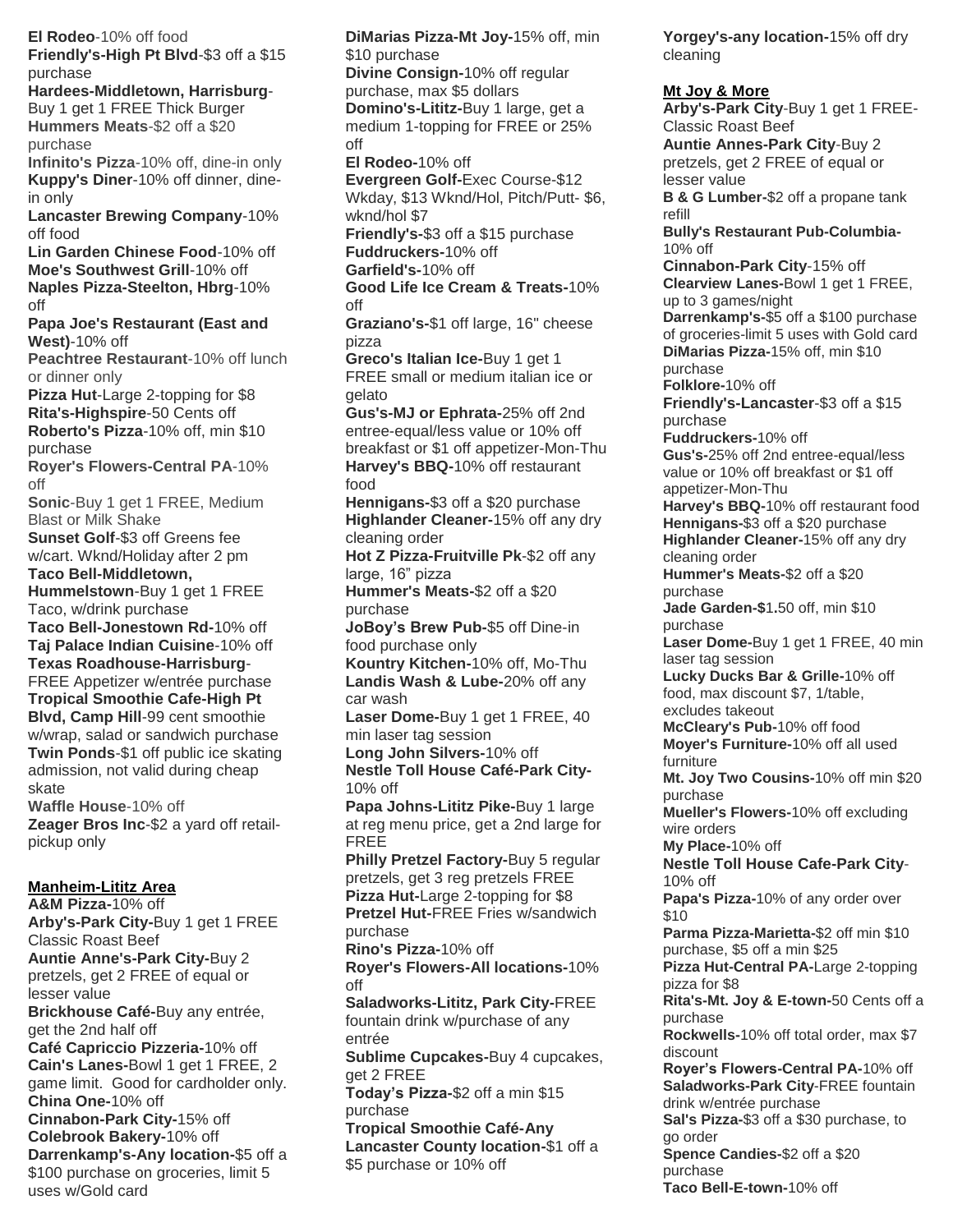**El Rodeo-10% off food Friendly's-High Pt Blvd-\$3 off a \$15 purchase Hardees-Middletown, Harrisburg-Buy 1 get 1 FREE Thick Burger Hummers Meats-\$2 off a \$20 purchase Infinito's Pizza-10% off, dine-in only Kuppy's Diner-10% off dinner, dinein only Lancaster Brewing Company-10% off food Lin Garden Chinese Food-10% off Moe's Southwest Grill-10% off Naples Pizza-Steelton, Hbrg-10% off Papa Joe's Restaurant (East and West)-10% off Peachtree Restaurant-10% off lunch or dinner only Pizza Hut-Large 2-topping for \$8 Rita's-Highspire-50 Cents off Roberto's Pizza-10% off, min \$10 purchase Royer's Flowers-Central PA-10% off Sonic-Buy 1 get 1 FREE, Medium Blast or Milk Shake Sunset Golf-\$3 off Greens fee w/cart. Wknd/Holiday after 2 pm Taco Bell-Middletown, Hummelstown-Buy 1 get 1 FREE Taco, w/drink purchase Taco Bell-Jonestown Rd-10% off Taj Palace Indian Cuisine-10% off Texas Roadhouse-Harrisburg-FREE Appetizer w/entrée purchase Tropical Smoothie Cafe-High Pt Blvd, Camp Hill-99 cent smoothie w/wrap, salad or sandwich purchase Twin Ponds-\$1 off public ice skating admission, not valid during cheap skate Waffle House-10% off Zeager Bros Inc-\$2 a yard off retailpickup only Manheim-Lititz Area A&M Pizza-10% off Arby's-Park City-Buy 1 get 1 FREE Classic Roast Beef Auntie Anne's-Park City-Buy 2 pretzels, get 2 FREE of equal or lesser value Brickhouse Café-Buy any entrée, get the 2nd half off Café Capriccio Pizzeria-10% off Cain's Lanes-Bowl 1 get 1 FREE, 2 game limit. Good for cardholder only. China One-10% off**

**Cinnabon-Park City-15% off Colebrook Bakery-10% off Darrenkamp's-Any location-\$5 off a \$100 purchase on groceries, limit 5 uses w/Gold card**

**DiMarias Pizza-Mt Joy-15% off, min \$10 purchase Divine Consign-10% off regular purchase, max \$5 dollars Domino's-Lititz-Buy 1 large, get a medium 1-topping for FREE or 25% off El Rodeo-10% off Evergreen Golf-Exec Course-\$12 Wkday, \$13 Wknd/Hol, Pitch/Putt- \$6, wknd/hol \$7 Friendly's-\$3 off a \$15 purchase Fuddruckers-10% off Garfield's-10% off Good Life Ice Cream & Treats-10% off Graziano's-\$1 off large, 16" cheese pizza Greco's Italian Ice-Buy 1 get 1 FREE small or medium italian ice or gelato Gus's-MJ or Ephrata-25% off 2nd entree-equal/less value or 10% off breakfast or \$1 off appetizer-Mon-Thu Harvey's BBQ-10% off restaurant food Hennigans-\$3 off a \$20 purchase Highlander Cleaner-15% off any dry cleaning order Hot Z Pizza-Fruitville Pk-\$2 off any large, 16" pizza Hummer's Meats-\$2 off a \$20 purchase JoBoy's Brew Pub-\$5 off Dine-in food purchase only Kountry Kitchen-10% off, Mo-Thu Landis Wash & Lube-20% off any car wash Laser Dome-Buy 1 get 1 FREE, 40 min laser tag session Long John Silvers-10% off Nestle Toll House Café-Park City-10% off Papa Johns-Lititz Pike-Buy 1 large at reg menu price, get a 2nd large for FREE Philly Pretzel Factory-Buy 5 regular pretzels, get 3 reg pretzels FREE Pizza Hut-Large 2-topping for \$8 Pretzel Hut-FREE Fries w/sandwich purchase Rino's Pizza-10% off Royer's Flowers-All locations-10% off Saladworks-Lititz, Park City-FREE fountain drink w/purchase of any entrée Sublime Cupcakes-Buy 4 cupcakes, get 2 FREE Today's Pizza-\$2 off a min \$15 purchase Tropical Smoothie Café-Any Lancaster County location-\$1 off a \$5 purchase or 10% off**

**Yorgey's-any location-15% off dry cleaning**

## **Mt Joy & More Arby's-Park City-Buy 1 get 1 FREE-Classic Roast Beef Auntie Annes-Park City-Buy 2 pretzels, get 2 FREE of equal or lesser value B & G Lumber-\$2 off a propane tank refill Bully's Restaurant Pub-Columbia-10% off Cinnabon-Park City-15% off Clearview Lanes-Bowl 1 get 1 FREE, up to 3 games/night Darrenkamp's-\$5 off a \$100 purchase of groceries-limit 5 uses with Gold card DiMarias Pizza-15% off, min \$10 purchase Folklore-10% off Friendly's-Lancaster-\$3 off a \$15 purchase Fuddruckers-10% off Gus's-25% off 2nd entree-equal/less value or 10% off breakfast or \$1 off appetizer-Mon-Thu Harvey's BBQ-10% off restaurant food Hennigans-\$3 off a \$20 purchase Highlander Cleaner-15% off any dry cleaning order Hummer's Meats-\$2 off a \$20 purchase Jade Garden-\$1.50 off, min \$10 purchase Laser Dome-Buy 1 get 1 FREE, 40 min laser tag session Lucky Ducks Bar & Grille-10% off food, max discount \$7, 1/table, excludes takeout McCleary's Pub-10% off food Moyer's Furniture-10% off all used furniture Mt. Joy Two Cousins-10% off min \$20 purchase Mueller's Flowers-10% off excluding wire orders My Place-10% off Nestle Toll House Cafe-Park City-10% off Papa's Pizza-10% of any order over \$10 Parma Pizza-Marietta-\$2 off min \$10 purchase, \$5 off a min \$25 Pizza Hut-Central PA-Large 2-topping pizza for \$8 Rita's-Mt. Joy & E-town-50 Cents off a purchase Rockwells-10% off total order, max \$7 discount Royer's Flowers-Central PA-10% off Saladworks-Park City-FREE fountain drink w/entrée purchase Sal's Pizza-\$3 off a \$30 purchase, to go order Spence Candies-\$2 off a \$20 purchase**

**Taco Bell-E-town-10% off**